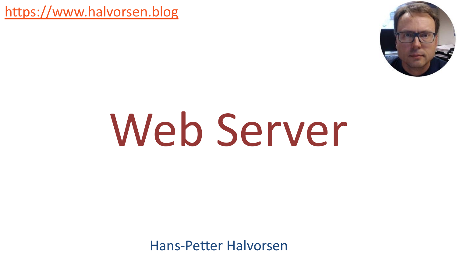[https://www.halvorsen.blog](https://www.halvorsen.blog/)



## Web Server

Hans-Petter Halvorsen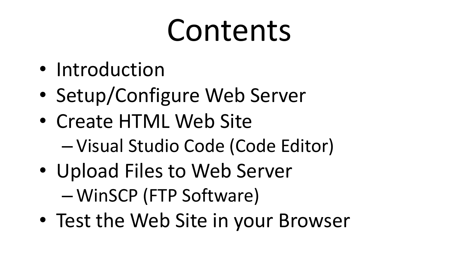### Contents

- Introduction
- Setup/Configure Web Server
- Create HTML Web Site
	- Visual Studio Code (Code Editor)
- Upload Files to Web Server – WinSCP (FTP Software)
- Test the Web Site in your Browser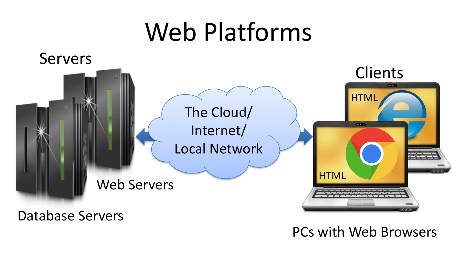### Web Platforms



Database Servers

PCs with Web Browsers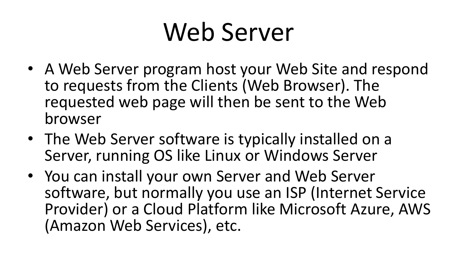### Web Server

- A Web Server program host your Web Site and respond to requests from the Clients (Web Browser). The requested web page will then be sent to the Web browser
- The Web Server software is typically installed on a Server, running OS like Linux or Windows Server
- You can install your own Server and Web Server software, but normally you use an ISP (Internet Service Provider) or a Cloud Platform like Microsoft Azure, AWS (Amazon Web Services), etc.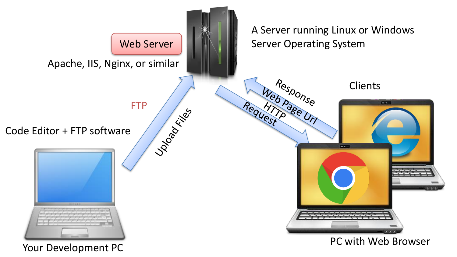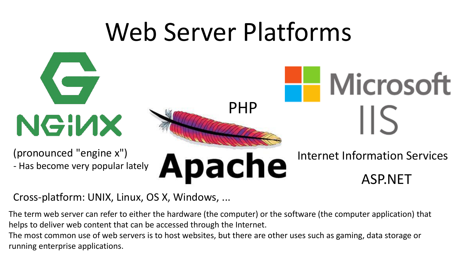### Web Server Platforms



Cross-platform: UNIX, Linux, OS X, Windows, ...

The term web server can refer to either the hardware (the computer) or the software (the computer application) that helps to deliver web content that can be accessed through the Internet.

The most common use of web servers is to host websites, but there are other uses such as gaming, data storage or running enterprise applications.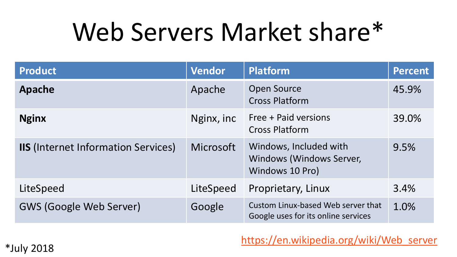### Web Servers Market share\*

| <b>Product</b>                             | <b>Vendor</b>    | <b>Platform</b>                                                           | <b>Percent</b> |
|--------------------------------------------|------------------|---------------------------------------------------------------------------|----------------|
| Apache                                     | Apache           | <b>Open Source</b><br><b>Cross Platform</b>                               | 45.9%          |
| <b>Nginx</b>                               | Nginx, inc       | Free + Paid versions<br><b>Cross Platform</b>                             | 39.0%          |
| <b>IIS</b> (Internet Information Services) | <b>Microsoft</b> | Windows, Included with<br>Windows (Windows Server,<br>Windows 10 Pro)     | 9.5%           |
| LiteSpeed                                  | LiteSpeed        | Proprietary, Linux                                                        | 3.4%           |
| <b>GWS (Google Web Server)</b>             | Google           | Custom Linux-based Web server that<br>Google uses for its online services | 1.0%           |

[https://en.wikipedia.org/wiki/Web\\_server](https://en.wikipedia.org/wiki/Web_server)

\*July 2018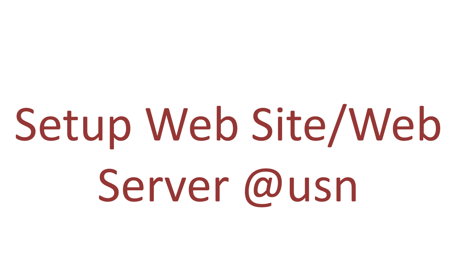# Setup Web Site/Web Server @usn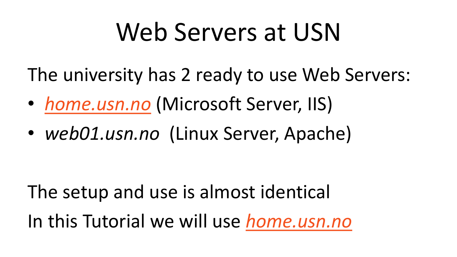### Web Servers at USN

The university has 2 ready to use Web Servers:

- *[home.usn.no](http://home.usn.no/)* (Microsoft Server, IIS)
- *web01.usn.no* (Linux Server, Apache)

The setup and use is almost identical In this Tutorial we will use *[home.usn.no](http://home.usn.no/)*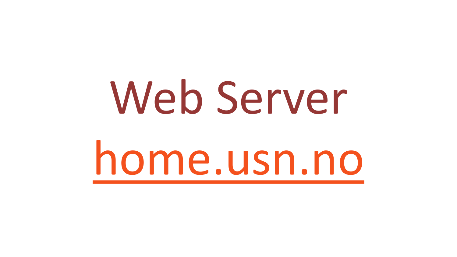# Web Server [home.usn.no](http://home.usn.no/)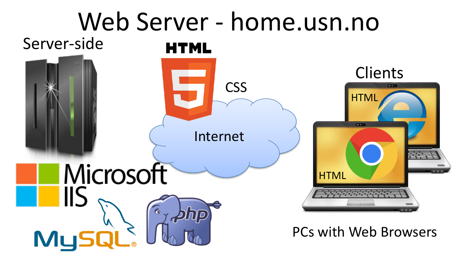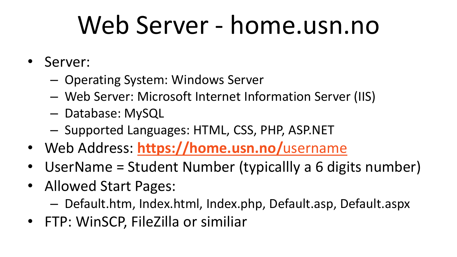### Web Server - home.usn.no

- Server:
	- Operating System: Windows Server
	- Web Server: Microsoft Internet Information Server (IIS)
	- Database: MySQL
	- Supported Languages: HTML, CSS, PHP, ASP.NET
- Web Address: **[https://home.usn.no/](https://home.usn.no/username)**username
- UserName = Student Number (typicallly a 6 digits number)
- Allowed Start Pages:
	- Default.htm, Index.html, Index.php, Default.asp, Default.aspx
- FTP: WinSCP, FileZilla or similiar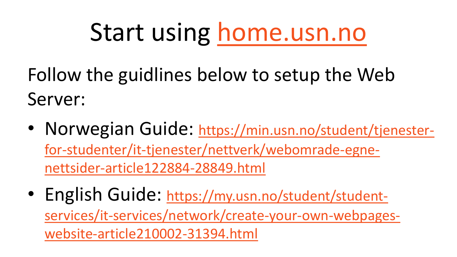### Start using [home.usn.no](http://home.usn.no/)

Follow the guidlines below to setup the Web Server:

- Norwegian Guide: https://min.usn.no/student/tjenester[for-studenter/it-tjenester/nettverk/webomrade-egne](https://min.usn.no/student/tjenester-for-studenter/it-tjenester/nettverk/webomrade-egne-nettsider-article122884-28849.html)nettsider-article122884-28849.html
- English Guide: https://my.usn.no/student/student[services/it-services/network/create-your-own-webpages](https://min.usn.no/student/tjenester-for-studenter/it-tjenester/nettverk/webomrade-egne-nettsider-article122884-28849.html)website-article210002-31394.html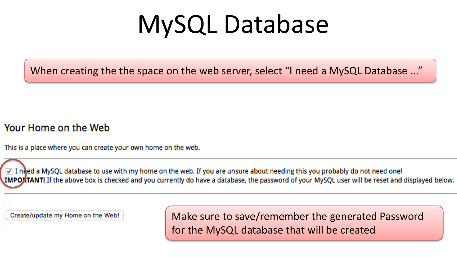### MySQL Database

When creating the the space on the web server, select "I need a MySQL Database ..."

#### Your Home on the Web

This is a place where you can create your own home on the web.

√ I need a MySQL database to use with my home on the web. If you are unsure about needing this you probably do not need one! IMPOKTANT! If the above box is checked and you currently do have a database, the password of your MySQL user will be reset and displayed below.

Create/update my Home on the Web!

Make sure to save/remember the generated Password for the MySQL database that will be created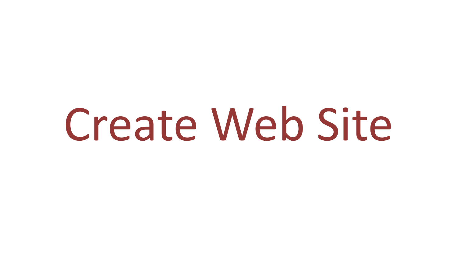## Create Web Site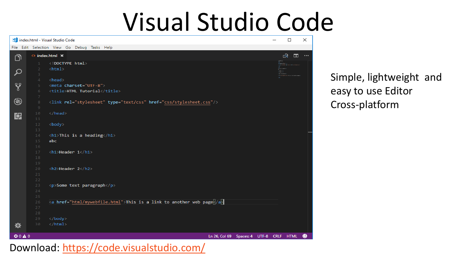### Visual Studio Code

|               | Index.html - Visual Studio Code                                                                    |            | $\Box$       | $\times$ |
|---------------|----------------------------------------------------------------------------------------------------|------------|--------------|----------|
|               | File Edit Selection View Go Debug Tasks Help                                                       |            |              |          |
| ා             | $\Diamond$ index.html $\times$                                                                     |            | Q.<br>$\Box$ | $\cdots$ |
|               | html<br>$\mathbf{1}$                                                                               | a<br>Event |              |          |
| $\mathcal{Q}$ | $\langle \texttt{html} \rangle$<br>$\overline{2}$<br>3                                             |            |              |          |
|               | $\overline{4}$<br><head></head>                                                                    |            |              |          |
| ४ृ            | 5 <sup>1</sup><br><meta charset="utf-8"/>                                                          |            |              |          |
|               | 6<br><title>HTML Tutorial</title>                                                                  |            |              |          |
| $\circledast$ | $\overline{7}$<br>$^{\rm 8}$<br><link href="css/stylesheet.css" rel="stylesheet" type="text/css"/> |            |              |          |
|               | $\mathcal{Q}$                                                                                      |            |              |          |
| 中             | 10<br>                                                                                             |            |              |          |
|               | 11<br>12                                                                                           |            |              |          |
|               | <body><br/>13</body>                                                                               |            |              |          |
|               | <h1>This is a heading</h1><br>14                                                                   |            |              |          |
|               | 15<br>abc                                                                                          |            |              |          |
|               | 16<br>17<br><h1>Header 1</h1>                                                                      |            |              |          |
|               | 18                                                                                                 |            |              |          |
|               | 19                                                                                                 |            |              |          |
|               | <h2>Header 2</h2><br>20                                                                            |            |              |          |
|               | 21<br>22                                                                                           |            |              |          |
|               | 23<br><p>Some text paragraph</p>                                                                   |            |              |          |
|               | 24                                                                                                 |            |              |          |
|               | 25<br><a href="html/mywebfile.html">This is a link to another web page /a<br/>26</a>               |            |              |          |
|               | 27                                                                                                 |            |              |          |
|               | 28                                                                                                 |            |              |          |
|               | <br>29                                                                                             |            |              |          |
| ₩             | $\langle$ /html><br>30                                                                             |            |              |          |
| 00A0          | Ln 26, Col 69 Spaces: 4 UTF-8 CRLF HTML                                                            |            |              | ◉        |

Simple, lightweight and easy to use Editor Cross-platform

#### Download: <https://code.visualstudio.com/>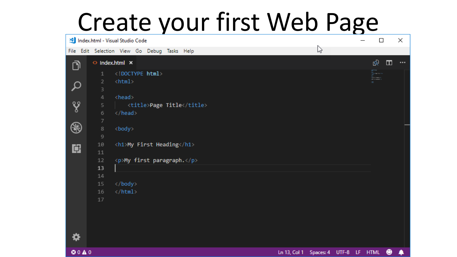### Create your first Web Page

|               |                        | Index.html - Visual Studio Code              |  |                           |  |  |                                                   |   |  | $\Box$      |                | $\times$ |
|---------------|------------------------|----------------------------------------------|--|---------------------------|--|--|---------------------------------------------------|---|--|-------------|----------------|----------|
|               |                        | File Edit Selection View Go Debug Tasks Help |  |                           |  |  |                                                   | B |  |             |                |          |
| ා             |                        | $\Diamond$ Index.html $\times$               |  |                           |  |  |                                                   |   |  | ró,         | $\blacksquare$ |          |
|               | $\mathbf{1}$           | html                                         |  |                           |  |  |                                                   |   |  | the m<br>E. |                |          |
| Q             | $\overline{2}$<br>3    | $\verb html $                                |  |                           |  |  |                                                   |   |  |             |                |          |
|               | $\overline{4}$         | <head></head>                                |  |                           |  |  |                                                   |   |  |             |                |          |
| ४ृ            | 5                      |                                              |  | <title>Page Title</title> |  |  |                                                   |   |  |             |                |          |
|               | 6                      |                                              |  |                           |  |  |                                                   |   |  |             |                |          |
| $\circledast$ | $\overline{7}$         |                                              |  |                           |  |  |                                                   |   |  |             |                |          |
|               | $\,$ 8<br>$\mathcal Q$ | <body></body>                                |  |                           |  |  |                                                   |   |  |             |                |          |
|               | 10                     | <h1>My First Heading</h1>                    |  |                           |  |  |                                                   |   |  |             |                |          |
| 畠             | 11                     |                                              |  |                           |  |  |                                                   |   |  |             |                |          |
|               | 12                     | <p>My first paragraph.</p>                   |  |                           |  |  |                                                   |   |  |             |                |          |
|               | 13                     |                                              |  |                           |  |  |                                                   |   |  |             |                |          |
|               | 14<br>15               |                                              |  |                           |  |  |                                                   |   |  |             |                |          |
|               | 16                     | $\langle$ /html>                             |  |                           |  |  |                                                   |   |  |             |                |          |
|               | 17                     |                                              |  |                           |  |  |                                                   |   |  |             |                |          |
|               |                        |                                              |  |                           |  |  |                                                   |   |  |             |                |          |
|               |                        |                                              |  |                           |  |  |                                                   |   |  |             |                |          |
|               |                        |                                              |  |                           |  |  |                                                   |   |  |             |                |          |
|               |                        |                                              |  |                           |  |  |                                                   |   |  |             |                |          |
|               |                        |                                              |  |                           |  |  |                                                   |   |  |             |                |          |
| ©0△0          |                        |                                              |  |                           |  |  | Ln 13, Col 1 Spaces: 4 UTF-8 LF HTML <sup>4</sup> |   |  |             |                | ۸        |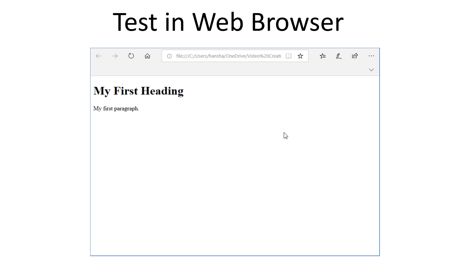### Test in Web Browser

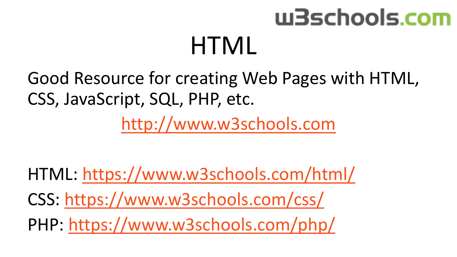### w3schools.com **HTML**

Good Resource for creating Web Pages with HTML, CSS, JavaScript, SQL, PHP, etc.

[http://www.w3schools.com](http://www.w3schools.com/)

HTML: <https://www.w3schools.com/html/> CSS:<https://www.w3schools.com/css/> PHP: <https://www.w3schools.com/php/>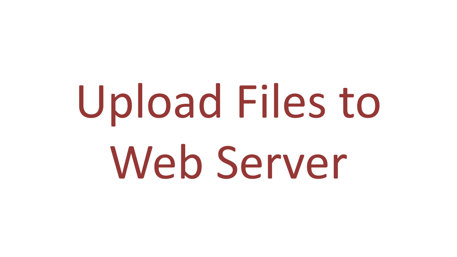# Upload Files to Web Server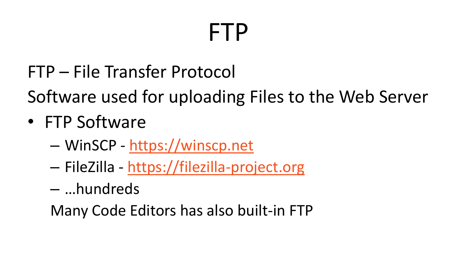### FTP

FTP – File Transfer Protocol

Software used for uploading Files to the Web Server

- FTP Software
	- WinSCP [https://winscp.net](https://winscp.net/)
	- FileZilla [https://filezilla-project.org](https://filezilla-project.org/)
	- …hundreds

Many Code Editors has also built-in FTP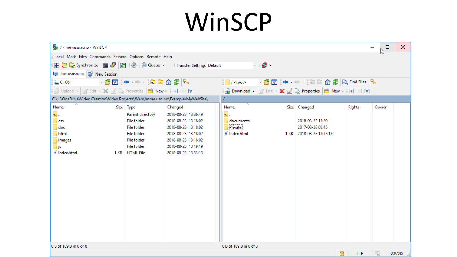### WinSCP

| / / - home.usn.no - WinSCP                                                    |      |                                                                                                                                                    |                                                                                                                                                               |                                                                                                       |  |                                                                  |                 | $\Box$<br>B | $\times$ |  |  |  |
|-------------------------------------------------------------------------------|------|----------------------------------------------------------------------------------------------------------------------------------------------------|---------------------------------------------------------------------------------------------------------------------------------------------------------------|-------------------------------------------------------------------------------------------------------|--|------------------------------------------------------------------|-----------------|-------------|----------|--|--|--|
| Local Mark Files Commands Session Options Remote Help                         |      |                                                                                                                                                    |                                                                                                                                                               |                                                                                                       |  |                                                                  |                 |             |          |  |  |  |
|                                                                               |      |                                                                                                                                                    | <b>Transfer Settings Default</b>                                                                                                                              | $\cdot$ $\sigma$ .                                                                                    |  |                                                                  |                 |             |          |  |  |  |
| home.usn.no <b>The New Session</b>                                            |      |                                                                                                                                                    |                                                                                                                                                               |                                                                                                       |  |                                                                  |                 |             |          |  |  |  |
| $\frac{12}{10}$ C: OS                                                         |      | ▸ ఆ ∏ ❤ - ⇒ -  □ □ □ ① 2   %                                                                                                                       |                                                                                                                                                               | ▸ @ 17   ← • → •   □ □ ∩ ∂ /   Q, Find Files   <sup>p</sup> a<br>$\sqrt{\frac{1}{2}}$ / <root></root> |  |                                                                  |                 |             |          |  |  |  |
|                                                                               |      |                                                                                                                                                    | <b>B</b> Download ▼   2 Edit ▼ ※ M La Properties   8 New ▼   H   H   マ                                                                                        |                                                                                                       |  |                                                                  |                 |             |          |  |  |  |
| C:\\OneDrive\Video Creation\Video Projects\Web\home.usn.no\Example\MyWebSite\ |      |                                                                                                                                                    |                                                                                                                                                               |                                                                                                       |  |                                                                  |                 |             |          |  |  |  |
| ㅈ<br>Name                                                                     |      | Size Type                                                                                                                                          | Changed                                                                                                                                                       | ㅈ<br>Name                                                                                             |  | Size Changed                                                     | <b>Rights</b>   | Owner       |          |  |  |  |
| $t_{\parallel}$<br><b>CSS</b><br>doc<br>html<br>images<br>js<br>e Index.html  | 1 KB | Parent directory<br><b>File folder</b><br><b>File folder</b><br><b>File folder</b><br><b>File folder</b><br><b>File folder</b><br><b>HTML File</b> | 2018-08-23 13:36:49<br>2018-08-23 13:18:02<br>2018-08-23 13:18:02<br>2018-08-23 13:18:02<br>2018-08-23 13:18:02<br>2018-08-23 13:19:19<br>2018-08-23 13:33:13 | <b>t.</b><br>documents<br>Private<br>$\left  \mathbf{e} \right $ Index.html                           |  | 2018-08-23 13:20<br>2017-08-28 08:45<br>1 KB 2018-08-23 13:33:13 |                 |             |          |  |  |  |
| 0 B of 109 B in 0 of 6                                                        |      |                                                                                                                                                    |                                                                                                                                                               | 0 B of 109 B in 0 of 3                                                                                |  |                                                                  |                 |             |          |  |  |  |
|                                                                               |      |                                                                                                                                                    |                                                                                                                                                               |                                                                                                       |  |                                                                  | ⋒<br><b>FTP</b> | 印           | 0:07:45  |  |  |  |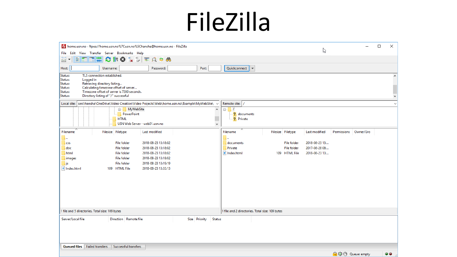### FileZilla

| home.usn.no - ftpes://home.usn.no%7Cusn.no%5Chansha@home.usn.no - FileZilla                             |                                                 | ピ                                         |                       | $\Box$ | $\times$            |
|---------------------------------------------------------------------------------------------------------|-------------------------------------------------|-------------------------------------------|-----------------------|--------|---------------------|
| File Edit View Transfer Server Bookmarks Help                                                           |                                                 |                                           |                       |        |                     |
| 里<br>E<br>٦.<br><b>EQO6</b><br>我<br>$\boldsymbol{\Omega}$<br>С                                          |                                                 |                                           |                       |        |                     |
| Host:<br>Username:<br>Password:<br>Port:                                                                | Quickconnect<br>l.                              |                                           |                       |        |                     |
| TLS connection established.<br>Status:                                                                  |                                                 |                                           |                       |        | $\hat{\phantom{a}}$ |
| Logged in<br>Status:<br>Retrieving directory listing<br>Status:                                         |                                                 |                                           |                       |        |                     |
| Status:<br>Calculating timezone offset of server                                                        |                                                 |                                           |                       |        |                     |
| Timezone offset of server is 7200 seconds.<br>Status:<br>Directory listing of "/" successful<br>Status: |                                                 |                                           |                       |        | $\checkmark$        |
| sers\hansha\OneDrive\Video Creation\Video Projects\Web\home.usn.no\Example\MyWebSite\ ~<br>Local site:  | Remote site: /                                  |                                           |                       |        | $\checkmark$        |
| MyWebSite<br>$\blacktriangle$                                                                           |                                                 |                                           |                       |        |                     |
| PowerPoint                                                                                              | e- 1<br>? documents                             |                                           |                       |        |                     |
| <b>HTML</b>                                                                                             | <b>2</b> Private                                |                                           |                       |        |                     |
| USN Web Server - web01.usn.no<br>$\checkmark$                                                           |                                                 |                                           |                       |        |                     |
| Filename<br>Filesize Filetype<br>Last modified                                                          | Filename                                        | Filesize Filetype<br><b>Last modified</b> | Permissions Owner/Gro |        |                     |
|                                                                                                         |                                                 |                                           |                       |        |                     |
| 2018-08-23 13:18:02<br><b>File folder</b><br><b>CSS</b>                                                 | documents                                       | 2018-08-23 13:<br><b>File folder</b>      |                       |        |                     |
| <b>File folder</b><br>2018-08-23 13:18:02<br>doc                                                        | Private                                         | 2017-08-28 08:<br><b>File folder</b>      |                       |        |                     |
| 2018-08-23 13:18:02<br><b>File folder</b><br>html                                                       | e Index.html                                    | 109 HTML File<br>2018-08-23 13:           |                       |        |                     |
| <b>File folder</b><br>2018-08-23 13:18:02<br>images                                                     |                                                 |                                           |                       |        |                     |
| 2018-08-23 13:19:19<br><b>File folder</b><br>js                                                         |                                                 |                                           |                       |        |                     |
| e Index.html<br>109 HTML File<br>2018-08-23 13:33:13                                                    |                                                 |                                           |                       |        |                     |
|                                                                                                         |                                                 |                                           |                       |        |                     |
|                                                                                                         |                                                 |                                           |                       |        |                     |
|                                                                                                         |                                                 |                                           |                       |        |                     |
|                                                                                                         |                                                 |                                           |                       |        |                     |
|                                                                                                         |                                                 |                                           |                       |        |                     |
|                                                                                                         |                                                 |                                           |                       |        |                     |
| 1 file and 5 directories. Total size: 109 bytes                                                         | 1 file and 2 directories. Total size: 109 bytes |                                           |                       |        |                     |
| <b>Status</b><br>Server/Local file<br>Direction   Remote file<br>Size Priority                          |                                                 |                                           |                       |        |                     |
|                                                                                                         |                                                 |                                           |                       |        |                     |
|                                                                                                         |                                                 |                                           |                       |        |                     |
|                                                                                                         |                                                 |                                           |                       |        |                     |
|                                                                                                         |                                                 |                                           |                       |        |                     |
| <b>Failed transfers</b><br>Successful transfers<br><b>Queued files</b>                                  |                                                 |                                           |                       |        |                     |
|                                                                                                         |                                                 |                                           | A @ @ Queue: empty    | - -    |                     |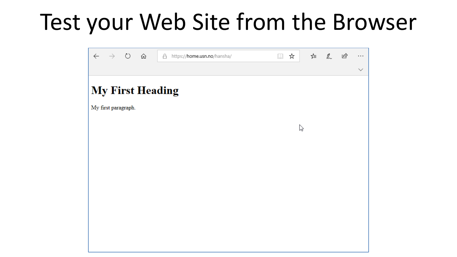### Test your Web Site from the Browser